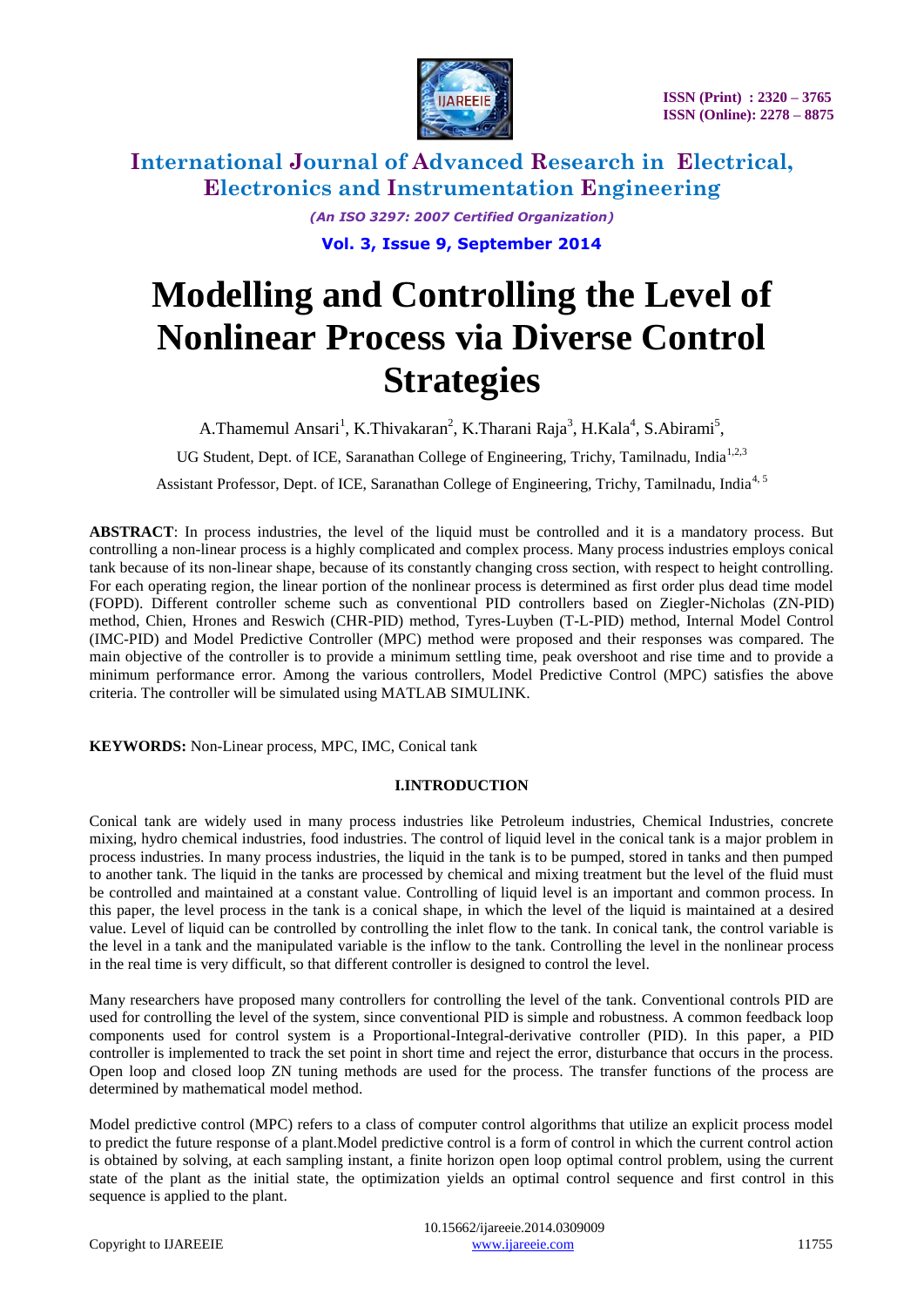

> *(An ISO 3297: 2007 Certified Organization)* **Vol. 3, Issue 9, September 2014**

# **Modelling and Controlling the Level of Nonlinear Process via Diverse Control Strategies**

A.Thamemul Ansari<sup>1</sup>, K.Thivakaran<sup>2</sup>, K.Tharani Raja<sup>3</sup>, H.Kala<sup>4</sup>, S.Abirami<sup>5</sup>,

UG Student, Dept. of ICE, Saranathan College of Engineering, Trichy, Tamilnadu, India<sup>1,2,3</sup>

Assistant Professor, Dept. of ICE, Saranathan College of Engineering, Trichy, Tamilnadu, India<sup>4, 5</sup>

**ABSTRACT**: In process industries, the level of the liquid must be controlled and it is a mandatory process. But controlling a non-linear process is a highly complicated and complex process. Many process industries employs conical tank because of its non-linear shape, because of its constantly changing cross section, with respect to height controlling. For each operating region, the linear portion of the nonlinear process is determined as first order plus dead time model (FOPD). Different controller scheme such as conventional PID controllers based on Ziegler-Nicholas (ZN-PID) method, Chien, Hrones and Reswich (CHR-PID) method, Tyres-Luyben (T-L-PID) method, Internal Model Control (IMC-PID) and Model Predictive Controller (MPC) method were proposed and their responses was compared. The main objective of the controller is to provide a minimum settling time, peak overshoot and rise time and to provide a minimum performance error. Among the various controllers, Model Predictive Control (MPC) satisfies the above criteria. The controller will be simulated using MATLAB SIMULINK.

**KEYWORDS:** Non-Linear process, MPC, IMC, Conical tank

#### **I.INTRODUCTION**

Conical tank are widely used in many process industries like Petroleum industries, Chemical Industries, concrete mixing, hydro chemical industries, food industries. The control of liquid level in the conical tank is a major problem in process industries. In many process industries, the liquid in the tank is to be pumped, stored in tanks and then pumped to another tank. The liquid in the tanks are processed by chemical and mixing treatment but the level of the fluid must be controlled and maintained at a constant value. Controlling of liquid level is an important and common process. In this paper, the level process in the tank is a conical shape, in which the level of the liquid is maintained at a desired value. Level of liquid can be controlled by controlling the inlet flow to the tank. In conical tank, the control variable is the level in a tank and the manipulated variable is the inflow to the tank. Controlling the level in the nonlinear process in the real time is very difficult, so that different controller is designed to control the level.

Many researchers have proposed many controllers for controlling the level of the tank. Conventional controls PID are used for controlling the level of the system, since conventional PID is simple and robustness. A common feedback loop components used for control system is a Proportional-Integral-derivative controller (PID). In this paper, a PID controller is implemented to track the set point in short time and reject the error, disturbance that occurs in the process. Open loop and closed loop ZN tuning methods are used for the process. The transfer functions of the process are determined by mathematical model method.

Model predictive control (MPC) refers to a class of computer control algorithms that utilize an explicit process model to predict the future response of a plant.Model predictive control is a form of control in which the current control action is obtained by solving, at each sampling instant, a finite horizon open loop optimal control problem, using the current state of the plant as the initial state, the optimization yields an optimal control sequence and first control in this sequence is applied to the plant.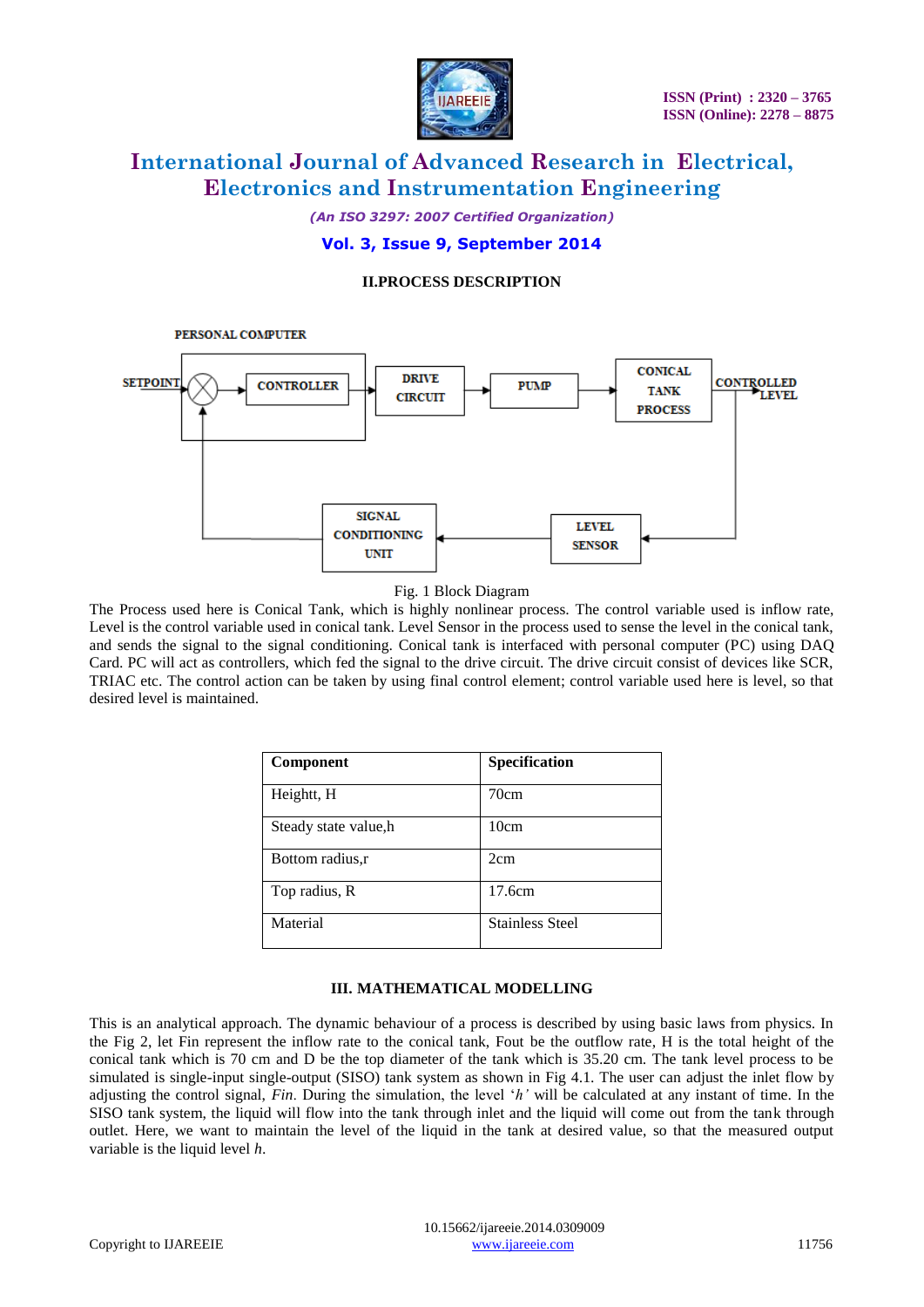

*(An ISO 3297: 2007 Certified Organization)* **Vol. 3, Issue 9, September 2014**

#### **II.PROCESS DESCRIPTION**



Fig. 1 Block Diagram

The Process used here is Conical Tank, which is highly nonlinear process. The control variable used is inflow rate, Level is the control variable used in conical tank. Level Sensor in the process used to sense the level in the conical tank, and sends the signal to the signal conditioning. Conical tank is interfaced with personal computer (PC) using DAQ Card. PC will act as controllers, which fed the signal to the drive circuit. The drive circuit consist of devices like SCR, TRIAC etc. The control action can be taken by using final control element; control variable used here is level, so that desired level is maintained.

| <b>Component</b>      | Specification          |
|-----------------------|------------------------|
| Heightt, H            | 70cm                   |
| Steady state value, h | 10cm                   |
| Bottom radius, r      | 2cm                    |
| Top radius, R         | 17.6cm                 |
| Material              | <b>Stainless Steel</b> |

#### **III. MATHEMATICAL MODELLING**

This is an analytical approach. The dynamic behaviour of a process is described by using basic laws from physics. In the Fig 2, let Fin represent the inflow rate to the conical tank, Fout be the outflow rate, H is the total height of the conical tank which is 70 cm and D be the top diameter of the tank which is 35.20 cm. The tank level process to be simulated is single-input single-output (SISO) tank system as shown in Fig 4.1. The user can adjust the inlet flow by adjusting the control signal, *Fin*. During the simulation, the level "*h'* will be calculated at any instant of time. In the SISO tank system, the liquid will flow into the tank through inlet and the liquid will come out from the tank through outlet. Here, we want to maintain the level of the liquid in the tank at desired value, so that the measured output variable is the liquid level *h*.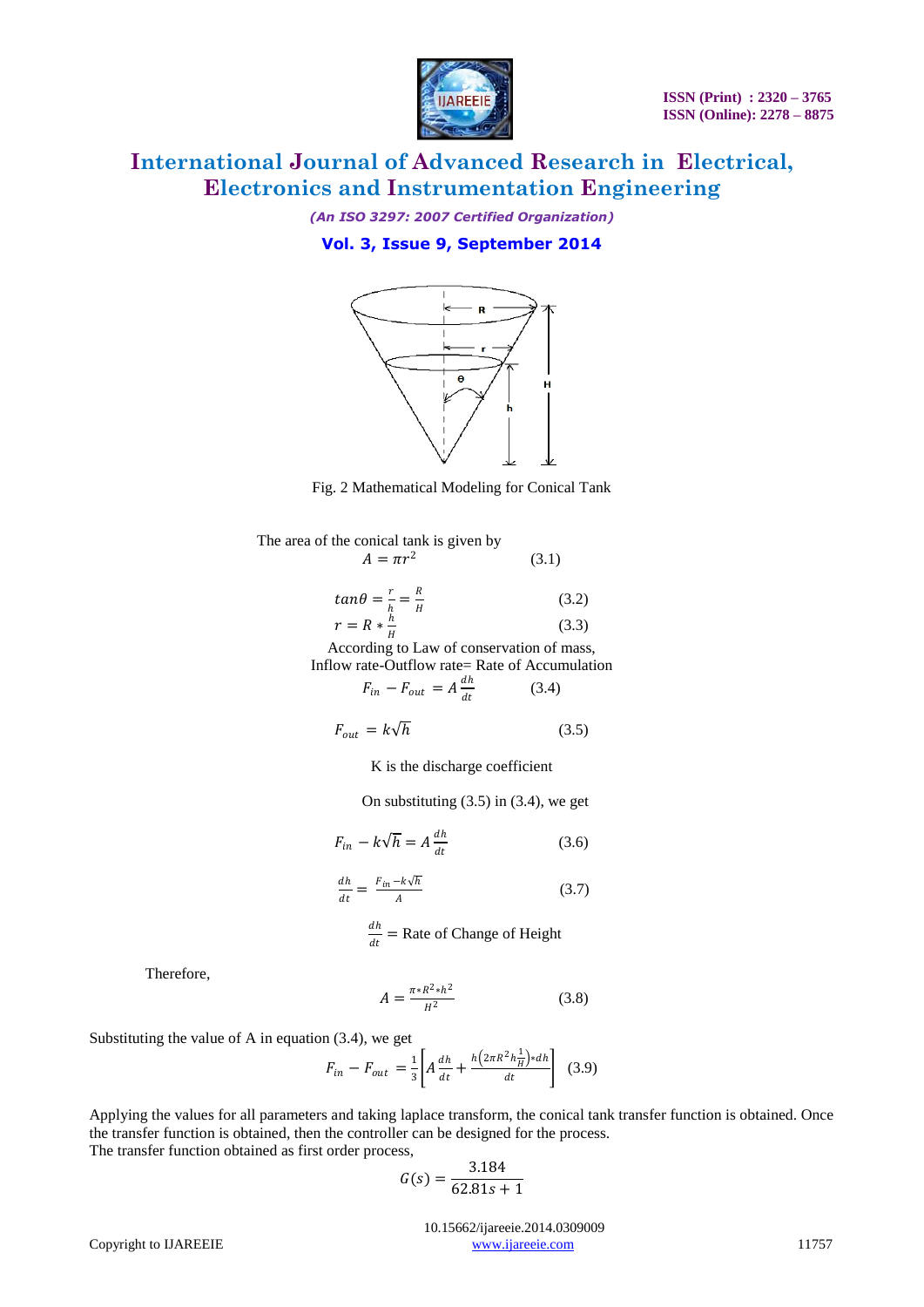

*(An ISO 3297: 2007 Certified Organization)* **Vol. 3, Issue 9, September 2014**



Fig. 2 Mathematical Modeling for Conical Tank

| The area of the conical tank is given by                          |       |
|-------------------------------------------------------------------|-------|
| $A = \pi r^2$                                                     | (3.1) |
| $tan \theta = \frac{r}{h} = \frac{R}{H}$<br>$r = R * \frac{h}{H}$ | (3.2) |
|                                                                   | (3.3) |
| According to Law of conservation of mass,                         |       |
| Inflow rate-Outflow rate= Rate of Accumulation                    |       |
| $F_{in} - F_{out} = A \frac{dh}{dt}$                              | (3.4) |

$$
F_{out} = k\sqrt{h}
$$
 (3.5)

K is the discharge coefficient

On substituting  $(3.5)$  in  $(3.4)$ , we get

$$
F_{in} - k\sqrt{h} = A\frac{dh}{dt}
$$
 (3.6)

$$
\frac{dh}{dt} = \frac{F_{in} - k\sqrt{h}}{A} \tag{3.7}
$$

$$
\frac{dh}{dt} = \text{Rate of Change of Height}
$$

Therefore,

$$
A = \frac{\pi * R^2 * h^2}{H^2} \tag{3.8}
$$

Substituting the value of A in equation (3.4), we get

$$
F_{in} - F_{out} = \frac{1}{3} \left[ A \frac{dh}{dt} + \frac{h \left( 2\pi R^2 h_H^2 \right) * dh}{dt} \right] (3.9)
$$

Applying the values for all parameters and taking laplace transform, the conical tank transfer function is obtained. Once the transfer function is obtained, then the controller can be designed for the process. The transfer function obtained as first order process,

$$
G(s) = \frac{3.184}{62.81s + 1}
$$

 10.15662/ijareeie.2014.0309009 Copyright to IJAREEIE [www.ijareeie.com](http://www.ijareeie.com/) 11757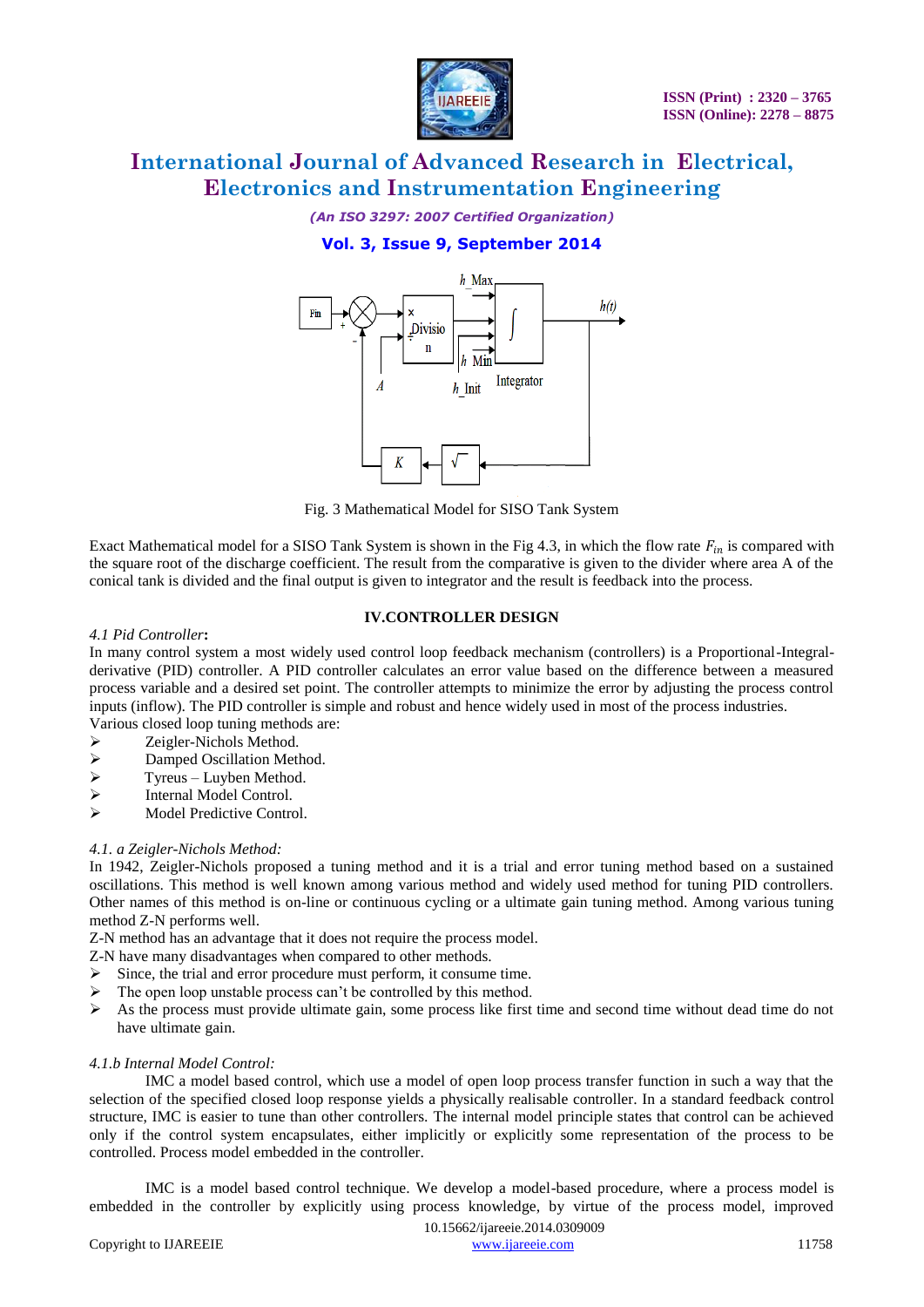

### *(An ISO 3297: 2007 Certified Organization)* **Vol. 3, Issue 9, September 2014**



Fig. 3 Mathematical Model for SISO Tank System

Exact Mathematical model for a SISO Tank System is shown in the Fig 4.3, in which the flow rate  $F_{in}$  is compared with the square root of the discharge coefficient. The result from the comparative is given to the divider where area A of the conical tank is divided and the final output is given to integrator and the result is feedback into the process.

#### **IV.CONTROLLER DESIGN**

#### *4.1 Pid Controller***:**

In many control system a most widely used control loop feedback mechanism (controllers) is a Proportional-Integralderivative (PID) controller. A PID controller calculates an error value based on the difference between a measured process variable and a desired set point. The controller attempts to minimize the error by adjusting the process control inputs (inflow). The PID controller is simple and robust and hence widely used in most of the process industries.

Various closed loop tuning methods are:

- $\geq$  Zeigler-Nichols Method.<br> $\geq$  Damped Oscillation Method.
- Damped Oscillation Method.
- $\triangleright$  Tyreus Luyben Method.<br>  $\triangleright$  Internal Model Control.
- $\triangleright$  Internal Model Control.<br> $\triangleright$  Model Predictive Control
- Model Predictive Control.

#### *4.1. a Zeigler-Nichols Method:*

In 1942, Zeigler-Nichols proposed a tuning method and it is a trial and error tuning method based on a sustained oscillations. This method is well known among various method and widely used method for tuning PID controllers. Other names of this method is on-line or continuous cycling or a ultimate gain tuning method. Among various tuning method Z-N performs well.

Z-N method has an advantage that it does not require the process model.

Z-N have many disadvantages when compared to other methods.

- $\triangleright$  Since, the trial and error procedure must perform, it consume time.
- $\triangleright$  The open loop unstable process can't be controlled by this method.
- $\triangleright$  As the process must provide ultimate gain, some process like first time and second time without dead time do not have ultimate gain.

#### *4.1.b Internal Model Control:*

IMC a model based control, which use a model of open loop process transfer function in such a way that the selection of the specified closed loop response yields a physically realisable controller. In a standard feedback control structure, IMC is easier to tune than other controllers. The internal model principle states that control can be achieved only if the control system encapsulates, either implicitly or explicitly some representation of the process to be controlled. Process model embedded in the controller.

IMC is a model based control technique. We develop a model-based procedure, where a process model is embedded in the controller by explicitly using process knowledge, by virtue of the process model, improved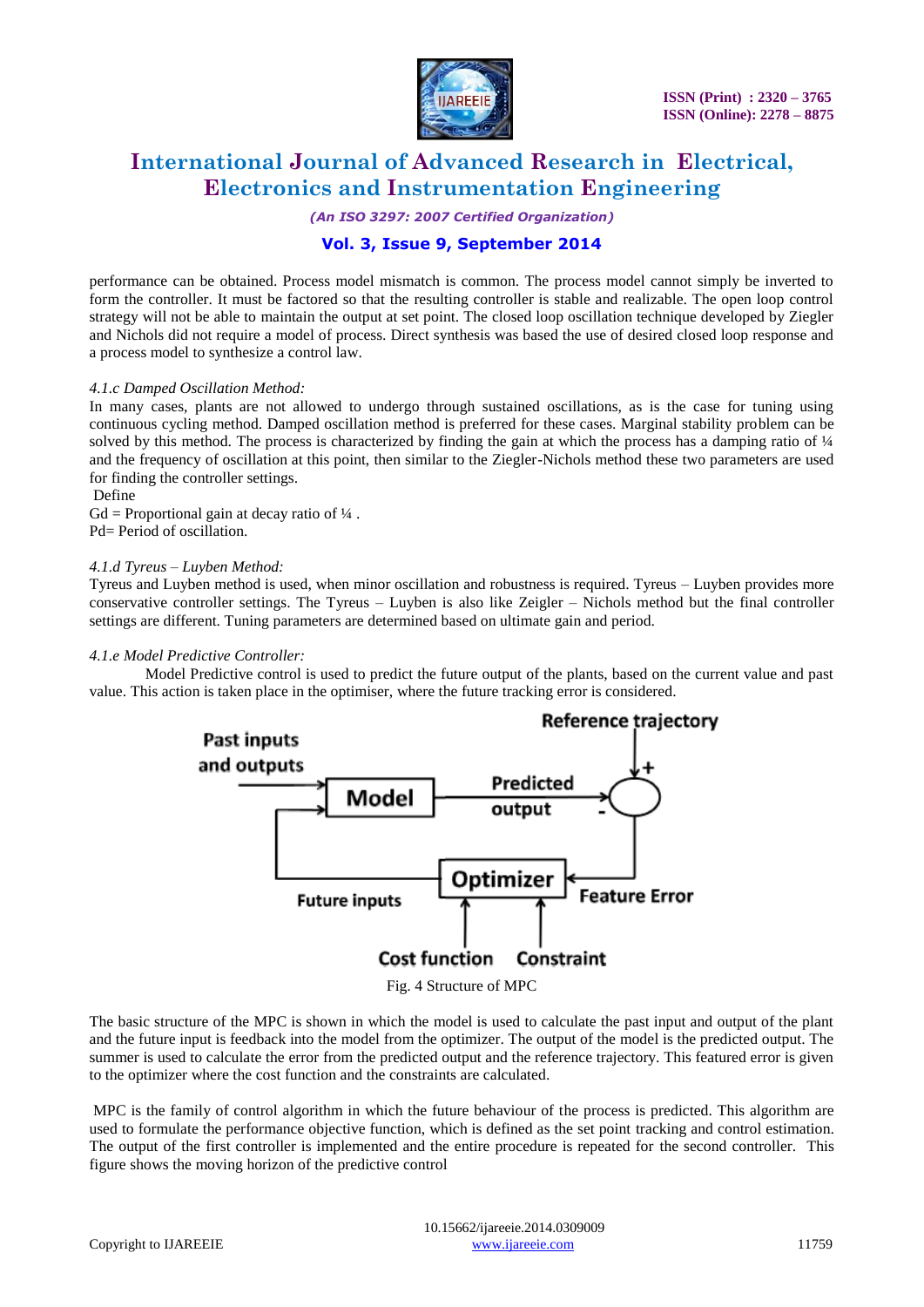

*(An ISO 3297: 2007 Certified Organization)*

### **Vol. 3, Issue 9, September 2014**

performance can be obtained. Process model mismatch is common. The process model cannot simply be inverted to form the controller. It must be factored so that the resulting controller is stable and realizable. The open loop control strategy will not be able to maintain the output at set point. The closed loop oscillation technique developed by Ziegler and Nichols did not require a model of process. Direct synthesis was based the use of desired closed loop response and a process model to synthesize a control law.

#### *4.1.c Damped Oscillation Method:*

In many cases, plants are not allowed to undergo through sustained oscillations, as is the case for tuning using continuous cycling method. Damped oscillation method is preferred for these cases. Marginal stability problem can be solved by this method. The process is characterized by finding the gain at which the process has a damping ratio of 1/4 and the frequency of oscillation at this point, then similar to the Ziegler-Nichols method these two parameters are used for finding the controller settings.

#### Define

 $Gd =$  Proportional gain at decay ratio of  $\frac{1}{4}$ . Pd= Period of oscillation.

#### *4.1.d Tyreus – Luyben Method:*

Tyreus and Luyben method is used, when minor oscillation and robustness is required. Tyreus – Luyben provides more conservative controller settings. The Tyreus – Luyben is also like Zeigler – Nichols method but the final controller settings are different. Tuning parameters are determined based on ultimate gain and period.

#### *4.1.e Model Predictive Controller:*

Model Predictive control is used to predict the future output of the plants, based on the current value and past value. This action is taken place in the optimiser, where the future tracking error is considered.



The basic structure of the MPC is shown in which the model is used to calculate the past input and output of the plant and the future input is feedback into the model from the optimizer. The output of the model is the predicted output. The summer is used to calculate the error from the predicted output and the reference trajectory. This featured error is given to the optimizer where the cost function and the constraints are calculated.

MPC is the family of control algorithm in which the future behaviour of the process is predicted. This algorithm are used to formulate the performance objective function, which is defined as the set point tracking and control estimation. The output of the first controller is implemented and the entire procedure is repeated for the second controller. This figure shows the moving horizon of the predictive control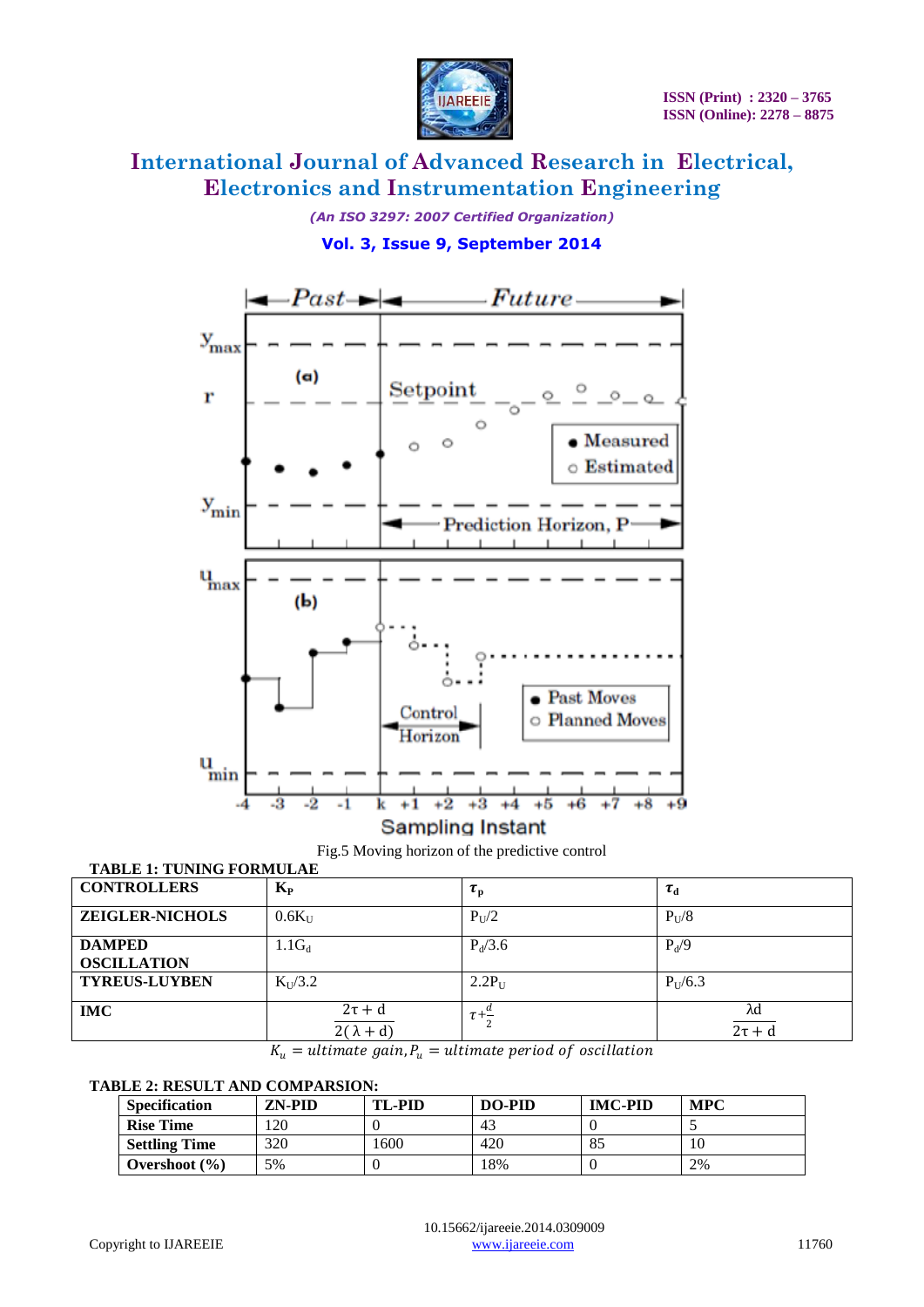

### *(An ISO 3297: 2007 Certified Organization)* **Vol. 3, Issue 9, September 2014**





### Fig.5 Moving horizon of the predictive control **TABLE 1: TUNING FORMULAE**

| <b>CONTROLLERS</b>                  | $K_{P}$                         | $\tau_{\rm p}$ | $\tau_{\rm d}$    |
|-------------------------------------|---------------------------------|----------------|-------------------|
| <b>ZEIGLER-NICHOLS</b>              | $0.6K_{U}$                      | $P_{U}/2$      | $P_{U}/8$         |
| <b>DAMPED</b><br><b>OSCILLATION</b> | $1.1G_d$                        | $P_{d}/3.6$    | $P_d/9$           |
| <b>TYREUS-LUYBEN</b>                | $K_{U}/3.2$                     | $2.2P_U$       | $P_{U}/6.3$       |
| <b>IMC</b>                          | $2\tau + d$<br>$2(\lambda + d)$ | $\tau$ +       | λd<br>$2\tau + d$ |

 $K_u =$  ultimate gain,  $P_u =$  ultimate period of oscillation

#### **TABLE 2: RESULT AND COMPARSION:**

| <b>Specification</b> | ZN-PID | <b>TL-PID</b> | DO-PID | <b>IMC-PID</b> | <b>MPC</b> |
|----------------------|--------|---------------|--------|----------------|------------|
| <b>Rise Time</b>     | 120    |               | 43     |                |            |
| <b>Settling Time</b> | 320    | 1600          | 420    | 85             |            |
| Overshoot $(\% )$    | 5%     |               | 8%     |                | 2%         |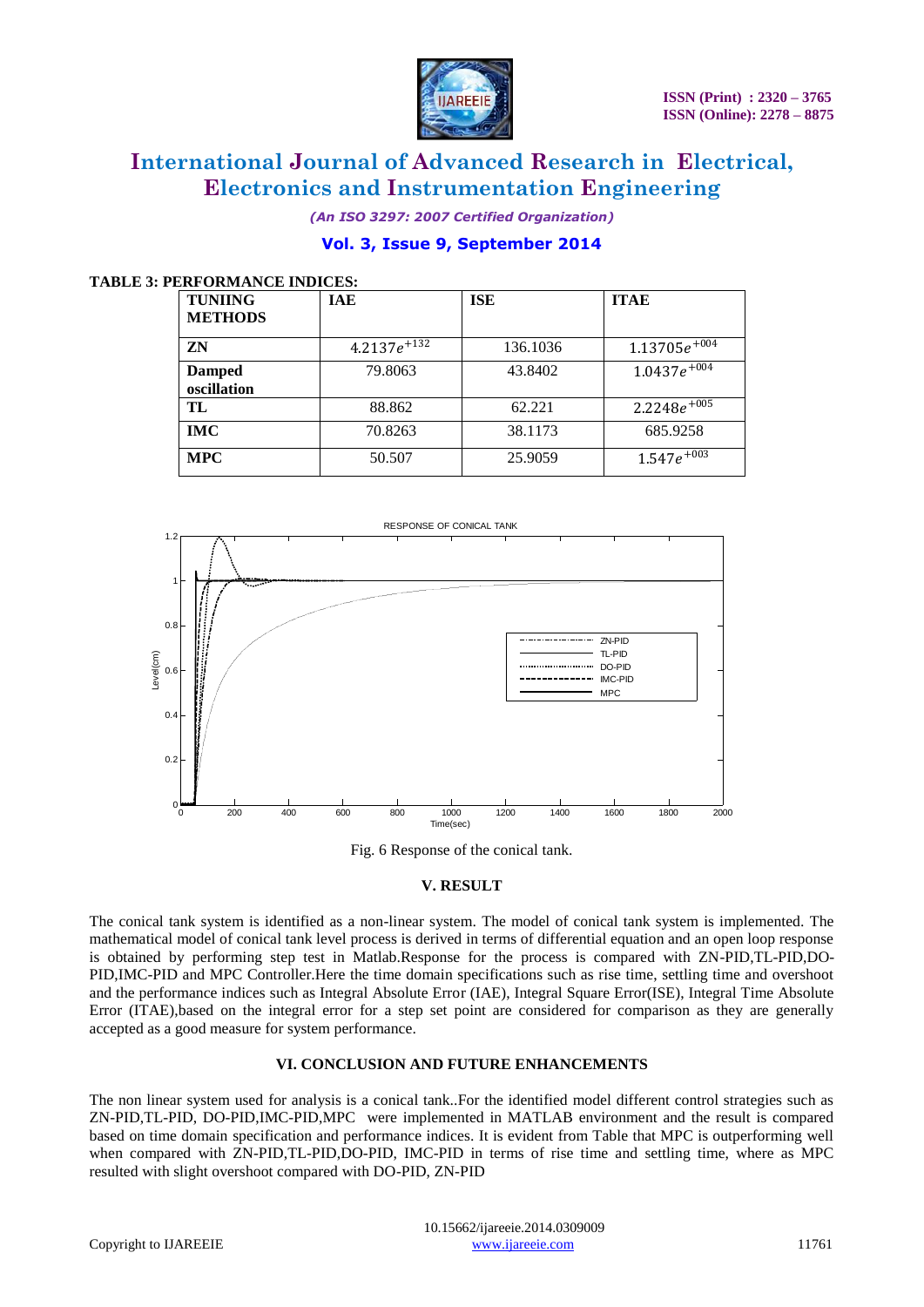

### *(An ISO 3297: 2007 Certified Organization)* **Vol. 3, Issue 9, September 2014**

#### **TABLE 3: PERFORMANCE INDICES:**

| <b>TUNIING</b><br><b>METHODS</b> | IAE                          | ISE      | <b>ITAE</b>             |
|----------------------------------|------------------------------|----------|-------------------------|
| ZN                               | 4.2137 $e^{\overline{+132}}$ | 136.1036 | $1.13705e^{+0.04}$      |
| <b>Damped</b><br>oscillation     | 79.8063                      | 43.8402  | $1.0437e^{+0.04}$       |
| TL                               | 88.862                       | 62.221   | $2.2248e^{\sqrt{1005}}$ |
| <b>IMC</b>                       | 70.8263                      | 38.1173  | 685.9258                |
| <b>MPC</b>                       | 50.507                       | 25.9059  | $1.547e^{+0.03}$        |



Fig. 6 Response of the conical tank.

#### **V. RESULT**

The conical tank system is identified as a non-linear system. The model of conical tank system is implemented. The mathematical model of conical tank level process is derived in terms of differential equation and an open loop response is obtained by performing step test in Matlab.Response for the process is compared with ZN-PID,TL-PID,DO-PID,IMC-PID and MPC Controller.Here the time domain specifications such as rise time, settling time and overshoot and the performance indices such as Integral Absolute Error (IAE), Integral Square Error(ISE), Integral Time Absolute Error (ITAE),based on the integral error for a step set point are considered for comparison as they are generally accepted as a good measure for system performance.

#### **VI. CONCLUSION AND FUTURE ENHANCEMENTS**

The non linear system used for analysis is a conical tank..For the identified model different control strategies such as ZN-PID,TL-PID, DO-PID,IMC-PID,MPC were implemented in MATLAB environment and the result is compared based on time domain specification and performance indices. It is evident from Table that MPC is outperforming well when compared with ZN-PID,TL-PID,DO-PID, IMC-PID in terms of rise time and settling time, where as MPC resulted with slight overshoot compared with DO-PID, ZN-PID